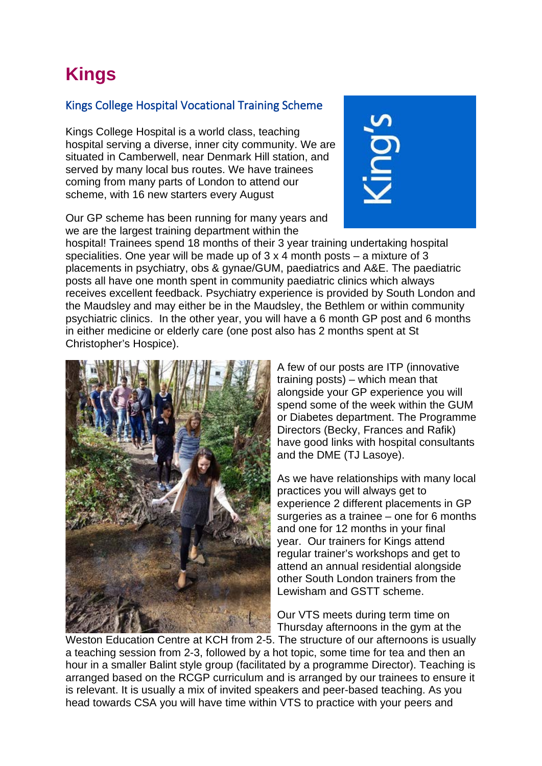# **Kings**

## Kings College Hospital Vocational Training Scheme

Kings College Hospital is a world class, teaching hospital serving a diverse, inner city community. We are situated in Camberwell, near Denmark Hill station, and served by many local bus routes. We have trainees coming from many parts of London to attend our scheme, with 16 new starters every August

Our GP scheme has been running for many years and we are the largest training department within the



hospital! Trainees spend 18 months of their 3 year training undertaking hospital specialities. One year will be made up of 3 x 4 month posts – a mixture of 3 placements in psychiatry, obs & gynae/GUM, paediatrics and A&E. The paediatric posts all have one month spent in community paediatric clinics which always receives excellent feedback. Psychiatry experience is provided by South London and the Maudsley and may either be in the Maudsley, the Bethlem or within community psychiatric clinics. In the other year, you will have a 6 month GP post and 6 months in either medicine or elderly care (one post also has 2 months spent at St Christopher's Hospice).



A few of our posts are ITP (innovative training posts) – which mean that alongside your GP experience you will spend some of the week within the GUM or Diabetes department. The Programme Directors (Becky, Frances and Rafik) have good links with hospital consultants and the DME (TJ Lasoye).

As we have relationships with many local practices you will always get to experience 2 different placements in GP surgeries as a trainee – one for 6 months and one for 12 months in your final year. Our trainers for Kings attend regular trainer's workshops and get to attend an annual residential alongside other South London trainers from the Lewisham and GSTT scheme.

Our VTS meets during term time on Thursday afternoons in the gym at the

Weston Education Centre at KCH from 2-5. The structure of our afternoons is usually a teaching session from 2-3, followed by a hot topic, some time for tea and then an hour in a smaller Balint style group (facilitated by a programme Director). Teaching is arranged based on the RCGP curriculum and is arranged by our trainees to ensure it is relevant. It is usually a mix of invited speakers and peer-based teaching. As you head towards CSA you will have time within VTS to practice with your peers and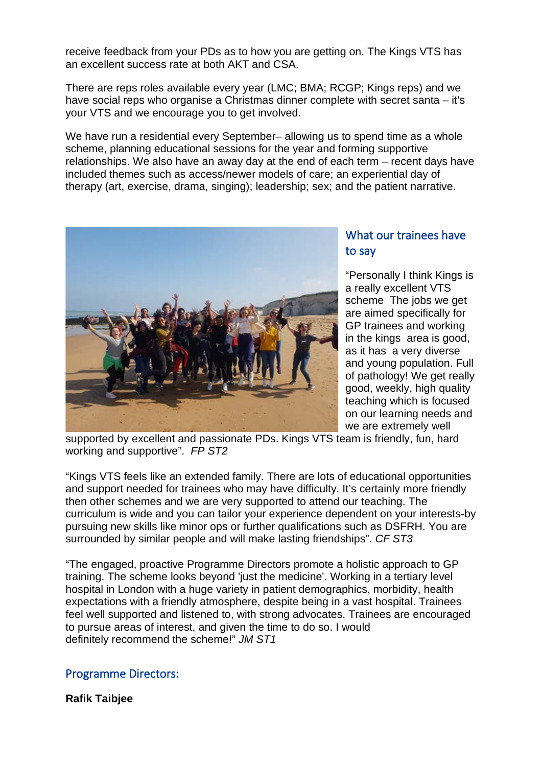receive feedback from your PDs as to how you are getting on. The Kings VTS has an excellent success rate at both AKT and CSA.

There are reps roles available every year (LMC; BMA; RCGP; Kings reps) and we have social reps who organise a Christmas dinner complete with secret santa – it's your VTS and we encourage you to get involved.

We have run a residential every September– allowing us to spend time as a whole scheme, planning educational sessions for the year and forming supportive relationships. We also have an away day at the end of each term – recent days have included themes such as access/newer models of care; an experiential day of therapy (art, exercise, drama, singing); leadership; sex; and the patient narrative.



# What our trainees have to say

"Personally I think Kings is a really excellent VTS scheme The jobs we get are aimed specifically for GP trainees and working in the kings area is good, as it has a very diverse and young population. Full of pathology! We get really good, weekly, high quality teaching which is focused on our learning needs and we are extremely well

supported by excellent and passionate PDs. Kings VTS team is friendly, fun, hard working and supportive". *FP ST2*

"Kings VTS feels like an extended family. There are lots of educational opportunities and support needed for trainees who may have difficulty. It's certainly more friendly then other schemes and we are very supported to attend our teaching. The curriculum is wide and you can tailor your experience dependent on your interests-by pursuing new skills like minor ops or further qualifications such as DSFRH. You are surrounded by similar people and will make lasting friendships". *CF ST3*

"The engaged, proactive Programme Directors promote a holistic approach to GP training. The scheme looks beyond 'just the medicine'. Working in a tertiary level hospital in London with a huge variety in patient demographics, morbidity, health expectations with a friendly atmosphere, despite being in a vast hospital. Trainees feel well supported and listened to, with strong advocates. Trainees are encouraged to pursue areas of interest, and given the time to do so. I would definitely recommend the scheme!" *JM ST1*

## Programme Directors:

**Rafik Taibjee**